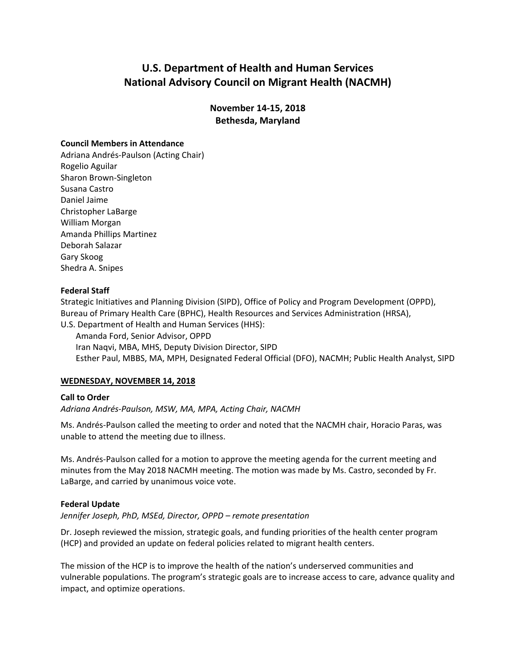# **U.S. Department of Health and Human Services National Advisory Council on Migrant Health (NACMH)**

**November 14-15, 2018 Bethesda, Maryland**

## **Council Members in Attendance**

Adriana Andrés-Paulson (Acting Chair) Rogelio Aguilar Sharon Brown-Singleton Susana Castro Daniel Jaime Christopher LaBarge William Morgan Amanda Phillips Martinez Deborah Salazar Gary Skoog Shedra A. Snipes

#### **Federal Staff**

Strategic Initiatives and Planning Division (SIPD), Office of Policy and Program Development (OPPD), Bureau of Primary Health Care (BPHC), Health Resources and Services Administration (HRSA), U.S. Department of Health and Human Services (HHS):

Amanda Ford, Senior Advisor, OPPD Iran Naqvi, MBA, MHS, Deputy Division Director, SIPD Esther Paul, MBBS, MA, MPH, Designated Federal Official (DFO), NACMH; Public Health Analyst, SIPD

## **WEDNESDAY, NOVEMBER 14, 2018**

## **Call to Order**

*Adriana Andrés-Paulson, MSW, MA, MPA, Acting Chair, NACMH*

Ms. Andrés-Paulson called the meeting to order and noted that the NACMH chair, Horacio Paras, was unable to attend the meeting due to illness.

Ms. Andrés-Paulson called for a motion to approve the meeting agenda for the current meeting and minutes from the May 2018 NACMH meeting. The motion was made by Ms. Castro, seconded by Fr. LaBarge, and carried by unanimous voice vote.

#### **Federal Update**

*Jennifer Joseph, PhD, MSEd, Director, OPPD – remote presentation*

Dr. Joseph reviewed the mission, strategic goals, and funding priorities of the health center program (HCP) and provided an update on federal policies related to migrant health centers.

The mission of the HCP is to improve the health of the nation's underserved communities and vulnerable populations. The program's strategic goals are to increase access to care, advance quality and impact, and optimize operations.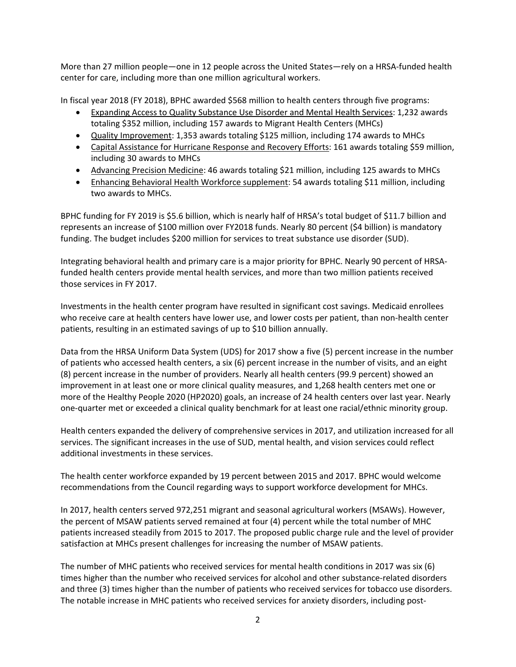More than 27 million people—one in 12 people across the United States—rely on a HRSA-funded health center for care, including more than one million agricultural workers.

In fiscal year 2018 (FY 2018), BPHC awarded \$568 million to health centers through five programs:

- Expanding Access to Quality Substance Use Disorder and Mental Health Services: 1,232 awards totaling \$352 million, including 157 awards to Migrant Health Centers (MHCs)
- Quality Improvement: 1,353 awards totaling \$125 million, including 174 awards to MHCs
- Capital Assistance for Hurricane Response and Recovery Efforts: 161 awards totaling \$59 million, including 30 awards to MHCs
- Advancing Precision Medicine: 46 awards totaling \$21 million, including 125 awards to MHCs
- Enhancing Behavioral Health Workforce supplement: 54 awards totaling \$11 million, including two awards to MHCs.

BPHC funding for FY 2019 is \$5.6 billion, which is nearly half of HRSA's total budget of \$11.7 billion and represents an increase of \$100 million over FY2018 funds. Nearly 80 percent (\$4 billion) is mandatory funding. The budget includes \$200 million for services to treat substance use disorder (SUD).

Integrating behavioral health and primary care is a major priority for BPHC. Nearly 90 percent of HRSAfunded health centers provide mental health services, and more than two million patients received those services in FY 2017.

Investments in the health center program have resulted in significant cost savings. Medicaid enrollees who receive care at health centers have lower use, and lower costs per patient, than non-health center patients, resulting in an estimated savings of up to \$10 billion annually.

Data from the HRSA Uniform Data System (UDS) for 2017 show a five (5) percent increase in the number of patients who accessed health centers, a six (6) percent increase in the number of visits, and an eight (8) percent increase in the number of providers. Nearly all health centers (99.9 percent) showed an improvement in at least one or more clinical quality measures, and 1,268 health centers met one or more of the Healthy People 2020 (HP2020) goals, an increase of 24 health centers over last year. Nearly one-quarter met or exceeded a clinical quality benchmark for at least one racial/ethnic minority group.

Health centers expanded the delivery of comprehensive services in 2017, and utilization increased for all services. The significant increases in the use of SUD, mental health, and vision services could reflect additional investments in these services.

The health center workforce expanded by 19 percent between 2015 and 2017. BPHC would welcome recommendations from the Council regarding ways to support workforce development for MHCs.

In 2017, health centers served 972,251 migrant and seasonal agricultural workers (MSAWs). However, the percent of MSAW patients served remained at four (4) percent while the total number of MHC patients increased steadily from 2015 to 2017. The proposed public charge rule and the level of provider satisfaction at MHCs present challenges for increasing the number of MSAW patients.

The number of MHC patients who received services for mental health conditions in 2017 was six (6) times higher than the number who received services for alcohol and other substance-related disorders and three (3) times higher than the number of patients who received services for tobacco use disorders. The notable increase in MHC patients who received services for anxiety disorders, including post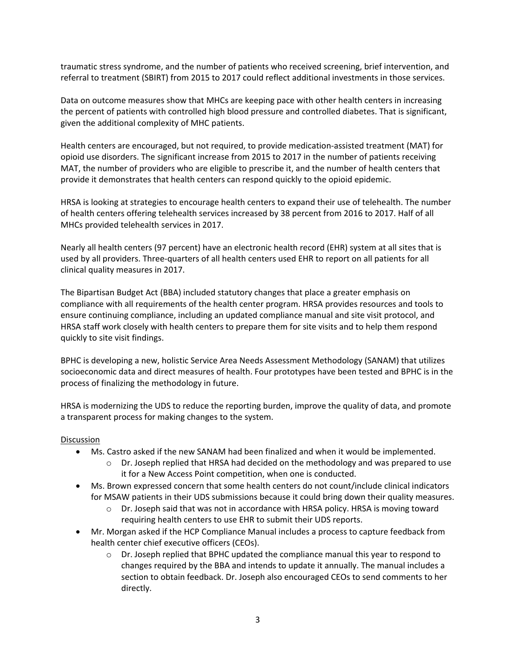traumatic stress syndrome, and the number of patients who received screening, brief intervention, and referral to treatment (SBIRT) from 2015 to 2017 could reflect additional investments in those services.

Data on outcome measures show that MHCs are keeping pace with other health centers in increasing the percent of patients with controlled high blood pressure and controlled diabetes. That is significant, given the additional complexity of MHC patients.

Health centers are encouraged, but not required, to provide medication-assisted treatment (MAT) for opioid use disorders. The significant increase from 2015 to 2017 in the number of patients receiving MAT, the number of providers who are eligible to prescribe it, and the number of health centers that provide it demonstrates that health centers can respond quickly to the opioid epidemic.

HRSA is looking at strategies to encourage health centers to expand their use of telehealth. The number of health centers offering telehealth services increased by 38 percent from 2016 to 2017. Half of all MHCs provided telehealth services in 2017.

Nearly all health centers (97 percent) have an electronic health record (EHR) system at all sites that is used by all providers. Three-quarters of all health centers used EHR to report on all patients for all clinical quality measures in 2017.

The Bipartisan Budget Act (BBA) included statutory changes that place a greater emphasis on compliance with all requirements of the health center program. HRSA provides resources and tools to ensure continuing compliance, including an updated compliance manual and site visit protocol, and HRSA staff work closely with health centers to prepare them for site visits and to help them respond quickly to site visit findings.

BPHC is developing a new, holistic Service Area Needs Assessment Methodology (SANAM) that utilizes socioeconomic data and direct measures of health. Four prototypes have been tested and BPHC is in the process of finalizing the methodology in future.

HRSA is modernizing the UDS to reduce the reporting burden, improve the quality of data, and promote a transparent process for making changes to the system.

- Ms. Castro asked if the new SANAM had been finalized and when it would be implemented.
	- Dr. Joseph replied that HRSA had decided on the methodology and was prepared to use it for a New Access Point competition, when one is conducted.
- Ms. Brown expressed concern that some health centers do not count/include clinical indicators for MSAW patients in their UDS submissions because it could bring down their quality measures.
	- Dr. Joseph said that was not in accordance with HRSA policy. HRSA is moving toward requiring health centers to use EHR to submit their UDS reports.
- Mr. Morgan asked if the HCP Compliance Manual includes a process to capture feedback from health center chief executive officers (CEOs).
	- Dr. Joseph replied that BPHC updated the compliance manual this year to respond to changes required by the BBA and intends to update it annually. The manual includes a section to obtain feedback. Dr. Joseph also encouraged CEOs to send comments to her directly.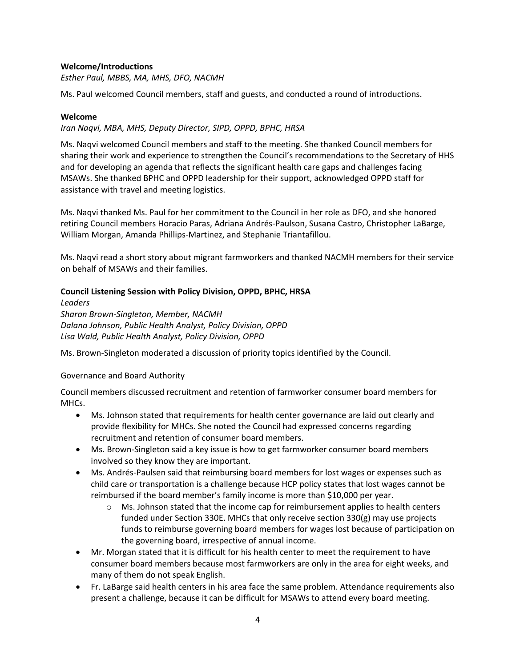## **Welcome/Introductions**

*Esther Paul, MBBS, MA, MHS, DFO, NACMH*

Ms. Paul welcomed Council members, staff and guests, and conducted a round of introductions.

## **Welcome**

## *Iran Naqvi, MBA, MHS, Deputy Director, SIPD, OPPD, BPHC, HRSA*

Ms. Naqvi welcomed Council members and staff to the meeting. She thanked Council members for sharing their work and experience to strengthen the Council's recommendations to the Secretary of HHS and for developing an agenda that reflects the significant health care gaps and challenges facing MSAWs. She thanked BPHC and OPPD leadership for their support, acknowledged OPPD staff for assistance with travel and meeting logistics.

Ms. Naqvi thanked Ms. Paul for her commitment to the Council in her role as DFO, and she honored retiring Council members Horacio Paras, Adriana Andrés-Paulson, Susana Castro, Christopher LaBarge, William Morgan, Amanda Phillips-Martinez, and Stephanie Triantafillou.

Ms. Naqvi read a short story about migrant farmworkers and thanked NACMH members for their service on behalf of MSAWs and their families.

# **Council Listening Session with Policy Division, OPPD, BPHC, HRSA**

*Leaders Sharon Brown-Singleton, Member, NACMH Dalana Johnson, Public Health Analyst, Policy Division, OPPD Lisa Wald, Public Health Analyst, Policy Division, OPPD*

Ms. Brown-Singleton moderated a discussion of priority topics identified by the Council.

## Governance and Board Authority

Council members discussed recruitment and retention of farmworker consumer board members for MHCs.

- Ms. Johnson stated that requirements for health center governance are laid out clearly and provide flexibility for MHCs. She noted the Council had expressed concerns regarding recruitment and retention of consumer board members.
- Ms. Brown-Singleton said a key issue is how to get farmworker consumer board members involved so they know they are important.
- Ms. Andrés-Paulsen said that reimbursing board members for lost wages or expenses such as child care or transportation is a challenge because HCP policy states that lost wages cannot be reimbursed if the board member's family income is more than \$10,000 per year.
	- $\circ$  Ms. Johnson stated that the income cap for reimbursement applies to health centers funded under Section 330E. MHCs that only receive section 330(g) may use projects funds to reimburse governing board members for wages lost because of participation on the governing board, irrespective of annual income.
- Mr. Morgan stated that it is difficult for his health center to meet the requirement to have consumer board members because most farmworkers are only in the area for eight weeks, and many of them do not speak English.
- Fr. LaBarge said health centers in his area face the same problem. Attendance requirements also present a challenge, because it can be difficult for MSAWs to attend every board meeting.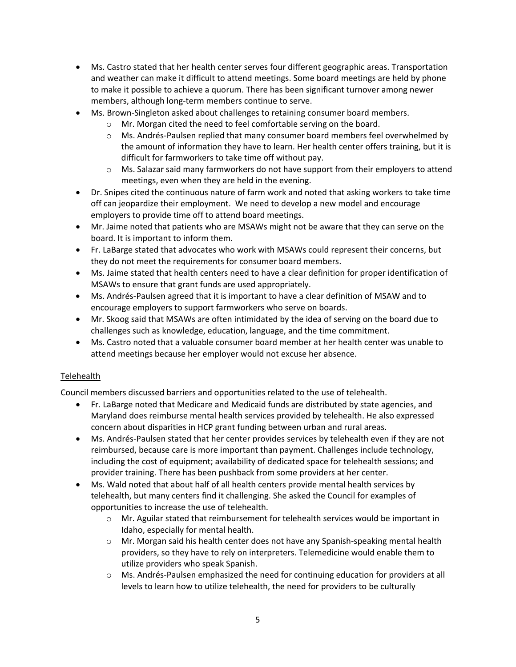- Ms. Castro stated that her health center serves four different geographic areas. Transportation and weather can make it difficult to attend meetings. Some board meetings are held by phone to make it possible to achieve a quorum. There has been significant turnover among newer members, although long-term members continue to serve.
- Ms. Brown-Singleton asked about challenges to retaining consumer board members.
	- Mr. Morgan cited the need to feel comfortable serving on the board.
	- Ms. Andrés-Paulsen replied that many consumer board members feel overwhelmed by the amount of information they have to learn. Her health center offers training, but it is difficult for farmworkers to take time off without pay.
	- Ms. Salazar said many farmworkers do not have support from their employers to attend meetings, even when they are held in the evening.
- Dr. Snipes cited the continuous nature of farm work and noted that asking workers to take time off can jeopardize their employment. We need to develop a new model and encourage employers to provide time off to attend board meetings.
- Mr. Jaime noted that patients who are MSAWs might not be aware that they can serve on the board. It is important to inform them.
- Fr. LaBarge stated that advocates who work with MSAWs could represent their concerns, but they do not meet the requirements for consumer board members.
- Ms. Jaime stated that health centers need to have a clear definition for proper identification of MSAWs to ensure that grant funds are used appropriately.
- Ms. Andrés-Paulsen agreed that it is important to have a clear definition of MSAW and to encourage employers to support farmworkers who serve on boards.
- Mr. Skoog said that MSAWs are often intimidated by the idea of serving on the board due to challenges such as knowledge, education, language, and the time commitment.
- Ms. Castro noted that a valuable consumer board member at her health center was unable to attend meetings because her employer would not excuse her absence.

# **Telehealth**

Council members discussed barriers and opportunities related to the use of telehealth.

- Fr. LaBarge noted that Medicare and Medicaid funds are distributed by state agencies, and Maryland does reimburse mental health services provided by telehealth. He also expressed concern about disparities in HCP grant funding between urban and rural areas.
- Ms. Andrés-Paulsen stated that her center provides services by telehealth even if they are not reimbursed, because care is more important than payment. Challenges include technology, including the cost of equipment; availability of dedicated space for telehealth sessions; and provider training. There has been pushback from some providers at her center.
- Ms. Wald noted that about half of all health centers provide mental health services by telehealth, but many centers find it challenging. She asked the Council for examples of opportunities to increase the use of telehealth.
	- Mr. Aguilar stated that reimbursement for telehealth services would be important in Idaho, especially for mental health.
	- Mr. Morgan said his health center does not have any Spanish-speaking mental health providers, so they have to rely on interpreters. Telemedicine would enable them to utilize providers who speak Spanish.
	- Ms. Andrés-Paulsen emphasized the need for continuing education for providers at all levels to learn how to utilize telehealth, the need for providers to be culturally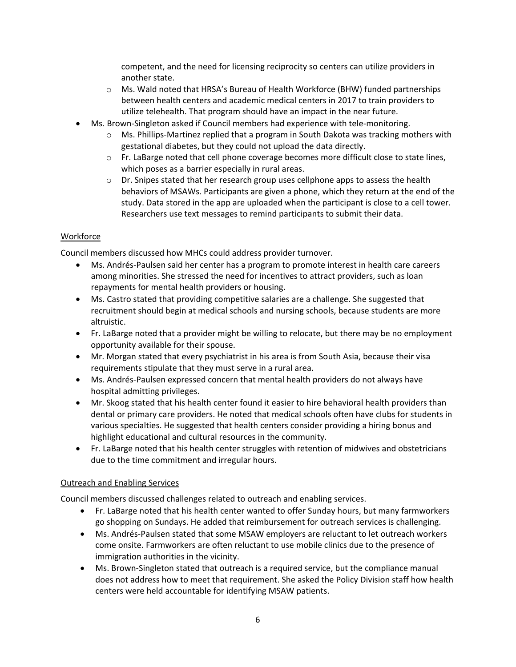competent, and the need for licensing reciprocity so centers can utilize providers in another state.

- Ms. Wald noted that HRSA's Bureau of Health Workforce (BHW) funded partnerships between health centers and academic medical centers in 2017 to train providers to utilize telehealth. That program should have an impact in the near future.
- Ms. Brown-Singleton asked if Council members had experience with tele-monitoring.
	- Ms. Phillips-Martinez replied that a program in South Dakota was tracking mothers with gestational diabetes, but they could not upload the data directly.
	- Fr. LaBarge noted that cell phone coverage becomes more difficult close to state lines, which poses as a barrier especially in rural areas.
	- Dr. Snipes stated that her research group uses cellphone apps to assess the health behaviors of MSAWs. Participants are given a phone, which they return at the end of the study. Data stored in the app are uploaded when the participant is close to a cell tower. Researchers use text messages to remind participants to submit their data.

## Workforce

Council members discussed how MHCs could address provider turnover.

- Ms. Andrés-Paulsen said her center has a program to promote interest in health care careers among minorities. She stressed the need for incentives to attract providers, such as loan repayments for mental health providers or housing.
- Ms. Castro stated that providing competitive salaries are a challenge. She suggested that recruitment should begin at medical schools and nursing schools, because students are more altruistic.
- Fr. LaBarge noted that a provider might be willing to relocate, but there may be no employment opportunity available for their spouse.
- Mr. Morgan stated that every psychiatrist in his area is from South Asia, because their visa requirements stipulate that they must serve in a rural area.
- Ms. Andrés-Paulsen expressed concern that mental health providers do not always have hospital admitting privileges.
- Mr. Skoog stated that his health center found it easier to hire behavioral health providers than dental or primary care providers. He noted that medical schools often have clubs for students in various specialties. He suggested that health centers consider providing a hiring bonus and highlight educational and cultural resources in the community.
- Fr. LaBarge noted that his health center struggles with retention of midwives and obstetricians due to the time commitment and irregular hours.

## Outreach and Enabling Services

Council members discussed challenges related to outreach and enabling services.

- Fr. LaBarge noted that his health center wanted to offer Sunday hours, but many farmworkers go shopping on Sundays. He added that reimbursement for outreach services is challenging.
- Ms. Andrés-Paulsen stated that some MSAW employers are reluctant to let outreach workers come onsite. Farmworkers are often reluctant to use mobile clinics due to the presence of immigration authorities in the vicinity.
- Ms. Brown-Singleton stated that outreach is a required service, but the compliance manual does not address how to meet that requirement. She asked the Policy Division staff how health centers were held accountable for identifying MSAW patients.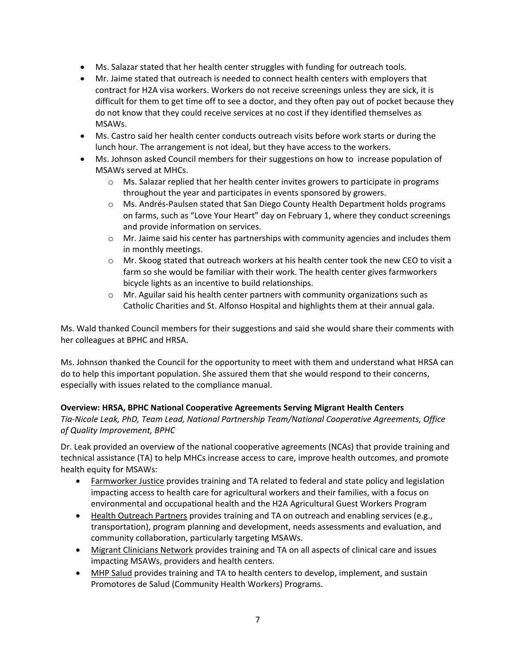- Ms. Salazar stated that her health center struggles with funding for outreach tools.
- Mr. Jaime stated that outreach is needed to connect health centers with employers that contract for H2A visa workers. Workers do not receive screenings unless they are sick, it is difficult for them to get time off to see a doctor, and they often pay out of pocket because they do not know that they could receive services at no cost if they identified themselves as MSAWs.
- Ms. Castro said her health center conducts outreach visits before work starts or during the lunch hour. The arrangement is not ideal, but they have access to the workers.
- Ms. Johnson asked Council members for their suggestions on how to increase population of MSAWs served at MHCs.
	- $\circ$  Ms. Salazar replied that her health center invites growers to participate in programs throughout the year and participates in events sponsored by growers.
	- Ms. Andrés-Paulsen stated that San Diego County Health Department holds programs on farms, such as "Love Your Heart" day on February 1, where they conduct screenings and provide information on services.
	- Mr. Jaime said his center has partnerships with community agencies and includes them in monthly meetings.
	- Mr. Skoog stated that outreach workers at his health center took the new CEO to visit a farm so she would be familiar with their work. The health center gives farmworkers bicycle lights as an incentive to build relationships.
	- Mr. Aguilar said his health center partners with community organizations such as Catholic Charities and St. Alfonso Hospital and highlights them at their annual gala.

Ms. Wald thanked Council members for their suggestions and said she would share their comments with her colleagues at BPHC and HRSA.

Ms. Johnson thanked the Council for the opportunity to meet with them and understand what HRSA can do to help this important population. She assured them that she would respond to their concerns, especially with issues related to the compliance manual.

# **Overview: HRSA, BPHC National Cooperative Agreements Serving Migrant Health Centers**

*Tia-Nicole Leak, PhD, Team Lead, National Partnership Team/National Cooperative Agreements, Office of Quality Improvement, BPHC*

Dr. Leak provided an overview of the national cooperative agreements (NCAs) that provide training and technical assistance (TA) to help MHCs increase access to care, improve health outcomes, and promote health equity for MSAWs:

- Farmworker Justice provides training and TA related to federal and state policy and legislation impacting access to health care for agricultural workers and their families, with a focus on environmental and occupational health and the H2A Agricultural Guest Workers Program
- Health Outreach Partners provides training and TA on outreach and enabling services (e.g., transportation), program planning and development, needs assessments and evaluation, and community collaboration, particularly targeting MSAWs.
- Migrant Clinicians Network provides training and TA on all aspects of clinical care and issues impacting MSAWs, providers and health centers.
- MHP Salud provides training and TA to health centers to develop, implement, and sustain Promotores de Salud (Community Health Workers) Programs.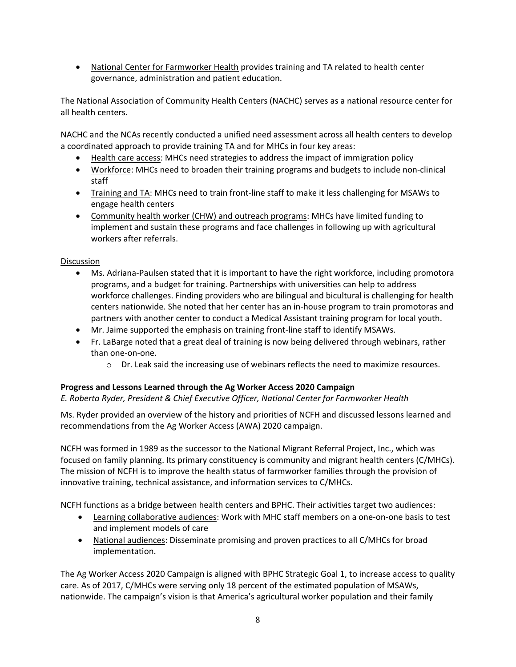• National Center for Farmworker Health provides training and TA related to health center governance, administration and patient education.

The National Association of Community Health Centers (NACHC) serves as a national resource center for all health centers.

NACHC and the NCAs recently conducted a unified need assessment across all health centers to develop a coordinated approach to provide training TA and for MHCs in four key areas:

- Health care access: MHCs need strategies to address the impact of immigration policy
- Workforce: MHCs need to broaden their training programs and budgets to include non-clinical staff
- Training and TA: MHCs need to train front-line staff to make it less challenging for MSAWs to engage health centers
- Community health worker (CHW) and outreach programs: MHCs have limited funding to implement and sustain these programs and face challenges in following up with agricultural workers after referrals.

## Discussion

- Ms. Adriana-Paulsen stated that it is important to have the right workforce, including promotora programs, and a budget for training. Partnerships with universities can help to address workforce challenges. Finding providers who are bilingual and bicultural is challenging for health centers nationwide. She noted that her center has an in-house program to train promotoras and partners with another center to conduct a Medical Assistant training program for local youth.
- Mr. Jaime supported the emphasis on training front-line staff to identify MSAWs.
- Fr. LaBarge noted that a great deal of training is now being delivered through webinars, rather than one-on-one.
	- Dr. Leak said the increasing use of webinars reflects the need to maximize resources.

# **Progress and Lessons Learned through the Ag Worker Access 2020 Campaign**

*E. Roberta Ryder, President & Chief Executive Officer, National Center for Farmworker Health*

Ms. Ryder provided an overview of the history and priorities of NCFH and discussed lessons learned and recommendations from the Ag Worker Access (AWA) 2020 campaign.

NCFH was formed in 1989 as the successor to the National Migrant Referral Project, Inc., which was focused on family planning. Its primary constituency is community and migrant health centers (C/MHCs). The mission of NCFH is to improve the health status of farmworker families through the provision of innovative training, technical assistance, and information services to C/MHCs.

NCFH functions as a bridge between health centers and BPHC. Their activities target two audiences:

- Learning collaborative audiences: Work with MHC staff members on a one-on-one basis to test and implement models of care
- National audiences: Disseminate promising and proven practices to all C/MHCs for broad implementation.

The Ag Worker Access 2020 Campaign is aligned with BPHC Strategic Goal 1, to increase access to quality care. As of 2017, C/MHCs were serving only 18 percent of the estimated population of MSAWs, nationwide. The campaign's vision is that America's agricultural worker population and their family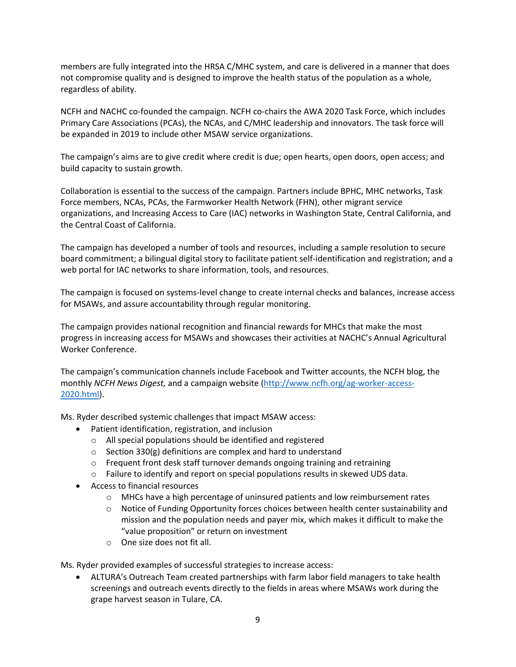members are fully integrated into the HRSA C/MHC system, and care is delivered in a manner that does not compromise quality and is designed to improve the health status of the population as a whole, regardless of ability.

NCFH and NACHC co-founded the campaign. NCFH co-chairs the AWA 2020 Task Force, which includes Primary Care Associations (PCAs), the NCAs, and C/MHC leadership and innovators. The task force will be expanded in 2019 to include other MSAW service organizations.

The campaign's aims are to give credit where credit is due; open hearts, open doors, open access; and build capacity to sustain growth.

Collaboration is essential to the success of the campaign. Partners include BPHC, MHC networks, Task Force members, NCAs, PCAs, the Farmworker Health Network (FHN), other migrant service organizations, and Increasing Access to Care (IAC) networks in Washington State, Central California, and the Central Coast of California.

The campaign has developed a number of tools and resources, including a sample resolution to secure board commitment; a bilingual digital story to facilitate patient self-identification and registration; and a web portal for IAC networks to share information, tools, and resources.

The campaign is focused on systems-level change to create internal checks and balances, increase access for MSAWs, and assure accountability through regular monitoring.

The campaign provides national recognition and financial rewards for MHCs that make the most progress in increasing access for MSAWs and showcases their activities at NACHC's Annual Agricultural Worker Conference.

The campaign's communication channels include Facebook and Twitter accounts, the NCFH blog, the monthly *NCFH News Digest,* and a campaign website [\(http://www.ncfh.org/ag-worker-access-](http://www.ncfh.org/ag-worker-access-2020.html)[2020.html\)](http://www.ncfh.org/ag-worker-access-2020.html).

Ms. Ryder described systemic challenges that impact MSAW access:

- Patient identification, registration, and inclusion
	- All special populations should be identified and registered
	- Section 330(g) definitions are complex and hard to understand
	- Frequent front desk staff turnover demands ongoing training and retraining
	- Failure to identify and report on special populations results in skewed UDS data.
- Access to financial resources
	- MHCs have a high percentage of uninsured patients and low reimbursement rates
	- Notice of Funding Opportunity forces choices between health center sustainability and mission and the population needs and payer mix, which makes it difficult to make the "value proposition" or return on investment
	- One size does not fit all.

Ms. Ryder provided examples of successful strategies to increase access:

• ALTURA's Outreach Team created partnerships with farm labor field managers to take health screenings and outreach events directly to the fields in areas where MSAWs work during the grape harvest season in Tulare, CA.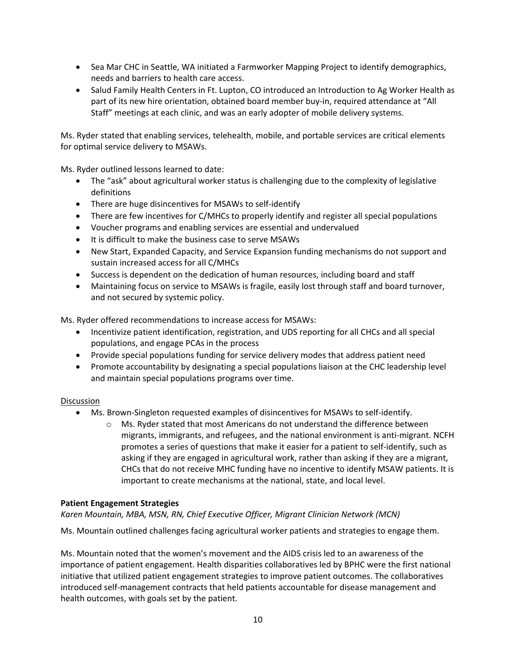- Sea Mar CHC in Seattle, WA initiated a Farmworker Mapping Project to identify demographics, needs and barriers to health care access.
- Salud Family Health Centers in Ft. Lupton, CO introduced an Introduction to Ag Worker Health as part of its new hire orientation, obtained board member buy-in, required attendance at "All Staff" meetings at each clinic, and was an early adopter of mobile delivery systems.

Ms. Ryder stated that enabling services, telehealth, mobile, and portable services are critical elements for optimal service delivery to MSAWs.

Ms. Ryder outlined lessons learned to date:

- The "ask" about agricultural worker status is challenging due to the complexity of legislative definitions
- There are huge disincentives for MSAWs to self-identify
- There are few incentives for C/MHCs to properly identify and register all special populations
- Voucher programs and enabling services are essential and undervalued
- It is difficult to make the business case to serve MSAWs
- New Start, Expanded Capacity, and Service Expansion funding mechanisms do not support and sustain increased access for all C/MHCs
- Success is dependent on the dedication of human resources, including board and staff
- Maintaining focus on service to MSAWs is fragile, easily lost through staff and board turnover, and not secured by systemic policy.

Ms. Ryder offered recommendations to increase access for MSAWs:

- Incentivize patient identification, registration, and UDS reporting for all CHCs and all special populations, and engage PCAs in the process
- Provide special populations funding for service delivery modes that address patient need
- Promote accountability by designating a special populations liaison at the CHC leadership level and maintain special populations programs over time.

## Discussion

- Ms. Brown-Singleton requested examples of disincentives for MSAWs to self-identify.
	- Ms. Ryder stated that most Americans do not understand the difference between migrants, immigrants, and refugees, and the national environment is anti-migrant. NCFH promotes a series of questions that make it easier for a patient to self-identify, such as asking if they are engaged in agricultural work, rather than asking if they are a migrant, CHCs that do not receive MHC funding have no incentive to identify MSAW patients. It is important to create mechanisms at the national, state, and local level.

## **Patient Engagement Strategies**

*Karen Mountain, MBA, MSN, RN, Chief Executive Officer, Migrant Clinician Network (MCN)*

Ms. Mountain outlined challenges facing agricultural worker patients and strategies to engage them.

Ms. Mountain noted that the women's movement and the AIDS crisis led to an awareness of the importance of patient engagement. Health disparities collaboratives led by BPHC were the first national initiative that utilized patient engagement strategies to improve patient outcomes. The collaboratives introduced self-management contracts that held patients accountable for disease management and health outcomes, with goals set by the patient.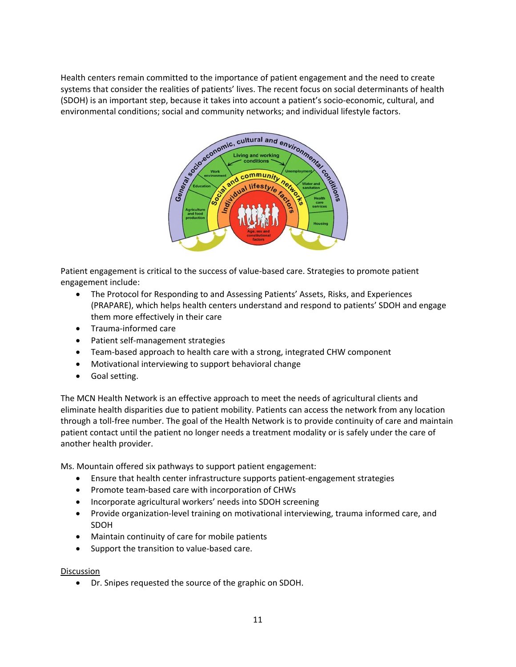Health centers remain committed to the importance of patient engagement and the need to create systems that consider the realities of patients' lives. The recent focus on social determinants of health (SDOH) is an important step, because it takes into account a patient's socio-economic, cultural, and environmental conditions; social and community networks; and individual lifestyle factors.



Patient engagement is critical to the success of value-based care. Strategies to promote patient engagement include:

- The Protocol for Responding to and Assessing Patients' Assets, Risks, and Experiences (PRAPARE), which helps health centers understand and respond to patients' SDOH and engage them more effectively in their care
- Trauma-informed care
- Patient self-management strategies
- Team-based approach to health care with a strong, integrated CHW component
- Motivational interviewing to support behavioral change
- Goal setting.

The MCN Health Network is an effective approach to meet the needs of agricultural clients and eliminate health disparities due to patient mobility. Patients can access the network from any location through a toll-free number. The goal of the Health Network is to provide continuity of care and maintain patient contact until the patient no longer needs a treatment modality or is safely under the care of another health provider.

Ms. Mountain offered six pathways to support patient engagement:

- Ensure that health center infrastructure supports patient-engagement strategies
- Promote team-based care with incorporation of CHWs
- Incorporate agricultural workers' needs into SDOH screening
- Provide organization-level training on motivational interviewing, trauma informed care, and SDOH
- Maintain continuity of care for mobile patients
- Support the transition to value-based care.

#### Discussion

• Dr. Snipes requested the source of the graphic on SDOH.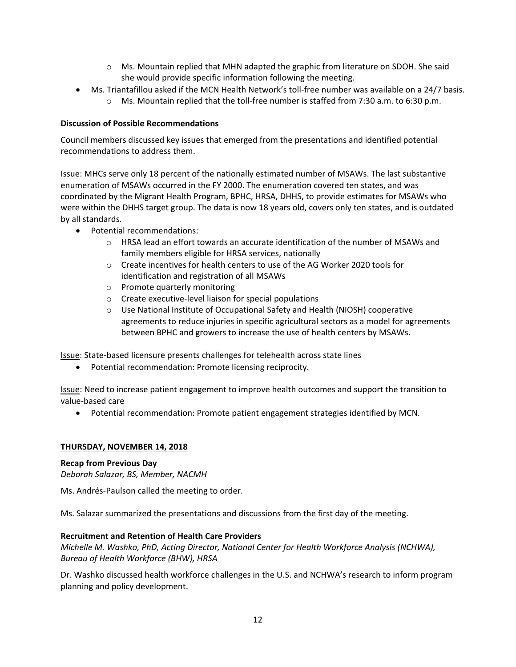- Ms. Mountain replied that MHN adapted the graphic from literature on SDOH. She said she would provide specific information following the meeting.
- Ms. Triantafillou asked if the MCN Health Network's toll-free number was available on a 24/7 basis.
	- Ms. Mountain replied that the toll-free number is staffed from 7:30 a.m. to 6:30 p.m.

## **Discussion of Possible Recommendations**

Council members discussed key issues that emerged from the presentations and identified potential recommendations to address them.

Issue: MHCs serve only 18 percent of the nationally estimated number of MSAWs. The last substantive enumeration of MSAWs occurred in the FY 2000. The enumeration covered ten states, and was coordinated by the Migrant Health Program, BPHC, HRSA, DHHS, to provide estimates for MSAWs who were within the DHHS target group. The data is now 18 years old, covers only ten states, and is outdated by all standards.

- Potential recommendations:
	- HRSA lead an effort towards an accurate identification of the number of MSAWs and family members eligible for HRSA services, nationally
	- Create incentives for health centers to use of the AG Worker 2020 tools for identification and registration of all MSAWs
	- Promote quarterly monitoring
	- Create executive-level liaison for special populations
	- Use National Institute of Occupational Safety and Health (NIOSH) cooperative agreements to reduce injuries in specific agricultural sectors as a model for agreements between BPHC and growers to increase the use of health centers by MSAWs.

Issue: State-based licensure presents challenges for telehealth across state lines

• Potential recommendation: Promote licensing reciprocity.

Issue: Need to increase patient engagement to improve health outcomes and support the transition to value-based care

• Potential recommendation: Promote patient engagement strategies identified by MCN.

## **THURSDAY, NOVEMBER 14, 2018**

## **Recap from Previous Day**

*Deborah Salazar, BS, Member, NACMH*

Ms. Andrés-Paulson called the meeting to order.

Ms. Salazar summarized the presentations and discussions from the first day of the meeting.

## **Recruitment and Retention of Health Care Providers**

*Michelle M. Washko, PhD, Acting Director, National Center for Health Workforce Analysis (NCHWA), Bureau of Health Workforce (BHW), HRSA*

Dr. Washko discussed health workforce challenges in the U.S. and NCHWA's research to inform program planning and policy development.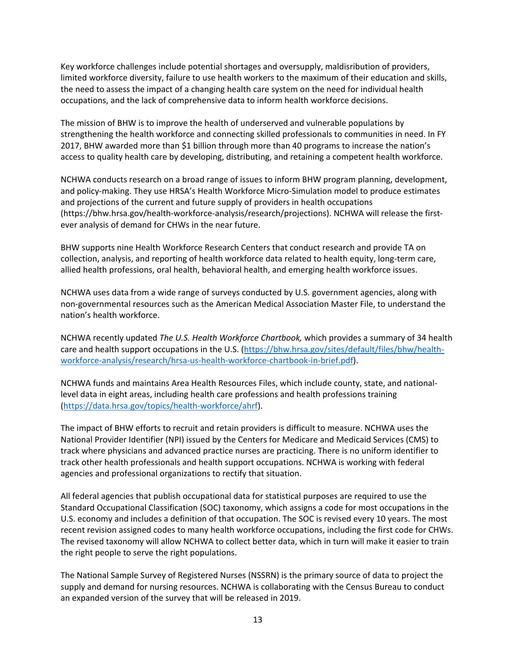Key workforce challenges include potential shortages and oversupply, maldisribution of providers, limited workforce diversity, failure to use health workers to the maximum of their education and skills, the need to assess the impact of a changing health care system on the need for individual health occupations, and the lack of comprehensive data to inform health workforce decisions.

The mission of BHW is to improve the health of underserved and vulnerable populations by strengthening the health workforce and connecting skilled professionals to communities in need. In FY 2017, BHW awarded more than \$1 billion through more than 40 programs to increase the nation's access to quality health care by developing, distributing, and retaining a competent health workforce.

NCHWA conducts research on a broad range of issues to inform BHW program planning, development, and policy-making. They use HRSA's Health Workforce Micro-Simulation model to produce estimates and projections of the current and future supply of providers in health occupations (https://bhw.hrsa.gov/health-workforce-analysis/research/projections). NCHWA will release the firstever analysis of demand for CHWs in the near future.

BHW supports nine Health Workforce Research Centers that conduct research and provide TA on collection, analysis, and reporting of health workforce data related to health equity, long-term care, allied health professions, oral health, behavioral health, and emerging health workforce issues.

NCHWA uses data from a wide range of surveys conducted by U.S. government agencies, along with non-governmental resources such as the American Medical Association Master File, to understand the nation's health workforce.

NCHWA recently updated *The U.S. Health Workforce Chartbook,* which provides a summary of 34 health care and health support occupations in the U.S. [\(https://bhw.hrsa.gov/sites/default/files/bhw/health](https://bhw.hrsa.gov/sites/default/files/bhw/health-workforce-analysis/research/hrsa-us-health-workforce-chartbook-in-brief.pdf)[workforce-analysis/research/hrsa-us-health-workforce-chartbook-in-brief.pdf\)](https://bhw.hrsa.gov/sites/default/files/bhw/health-workforce-analysis/research/hrsa-us-health-workforce-chartbook-in-brief.pdf).

NCHWA funds and maintains Area Health Resources Files, which include county, state, and nationallevel data in eight areas, including health care professions and health professions training [\(https://data.hrsa.gov/topics/health-workforce/ahrf\)](https://data.hrsa.gov/topics/health-workforce/ahrf).

The impact of BHW efforts to recruit and retain providers is difficult to measure. NCHWA uses the National Provider Identifier (NPI) issued by the Centers for Medicare and Medicaid Services (CMS) to track where physicians and advanced practice nurses are practicing. There is no uniform identifier to track other health professionals and health support occupations. NCHWA is working with federal agencies and professional organizations to rectify that situation.

All federal agencies that publish occupational data for statistical purposes are required to use the Standard Occupational Classification (SOC) taxonomy, which assigns a code for most occupations in the U.S. economy and includes a definition of that occupation. The SOC is revised every 10 years. The most recent revision assigned codes to many health workforce occupations, including the first code for CHWs. The revised taxonomy will allow NCHWA to collect better data, which in turn will make it easier to train the right people to serve the right populations.

The National Sample Survey of Registered Nurses (NSSRN) is the primary source of data to project the supply and demand for nursing resources. NCHWA is collaborating with the Census Bureau to conduct an expanded version of the survey that will be released in 2019.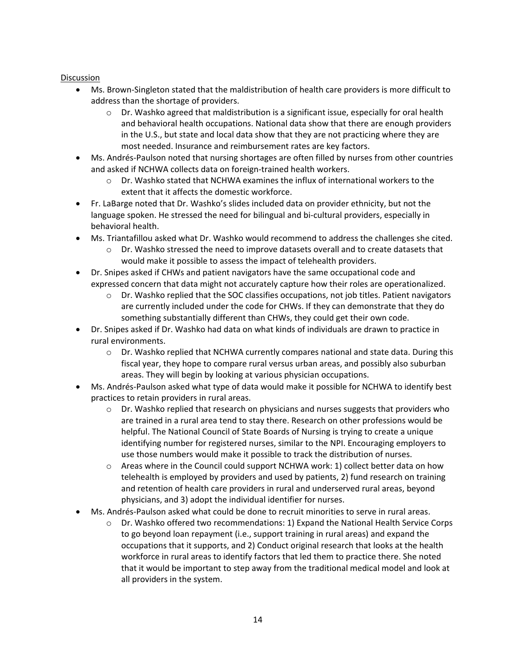- Ms. Brown-Singleton stated that the maldistribution of health care providers is more difficult to address than the shortage of providers.
	- Dr. Washko agreed that maldistribution is a significant issue, especially for oral health and behavioral health occupations. National data show that there are enough providers in the U.S., but state and local data show that they are not practicing where they are most needed. Insurance and reimbursement rates are key factors.
- Ms. Andrés-Paulson noted that nursing shortages are often filled by nurses from other countries and asked if NCHWA collects data on foreign-trained health workers.
	- Dr. Washko stated that NCHWA examines the influx of international workers to the extent that it affects the domestic workforce.
- Fr. LaBarge noted that Dr. Washko's slides included data on provider ethnicity, but not the language spoken. He stressed the need for bilingual and bi-cultural providers, especially in behavioral health.
- Ms. Triantafillou asked what Dr. Washko would recommend to address the challenges she cited.
	- Dr. Washko stressed the need to improve datasets overall and to create datasets that would make it possible to assess the impact of telehealth providers.
- Dr. Snipes asked if CHWs and patient navigators have the same occupational code and expressed concern that data might not accurately capture how their roles are operationalized.
	- Dr. Washko replied that the SOC classifies occupations, not job titles. Patient navigators are currently included under the code for CHWs. If they can demonstrate that they do something substantially different than CHWs, they could get their own code.
- Dr. Snipes asked if Dr. Washko had data on what kinds of individuals are drawn to practice in rural environments.
	- Dr. Washko replied that NCHWA currently compares national and state data. During this fiscal year, they hope to compare rural versus urban areas, and possibly also suburban areas. They will begin by looking at various physician occupations.
- Ms. Andrés-Paulson asked what type of data would make it possible for NCHWA to identify best practices to retain providers in rural areas.
	- Dr. Washko replied that research on physicians and nurses suggests that providers who are trained in a rural area tend to stay there. Research on other professions would be helpful. The National Council of State Boards of Nursing is trying to create a unique identifying number for registered nurses, similar to the NPI. Encouraging employers to use those numbers would make it possible to track the distribution of nurses.
	- Areas where in the Council could support NCHWA work: 1) collect better data on how telehealth is employed by providers and used by patients, 2) fund research on training and retention of health care providers in rural and underserved rural areas, beyond physicians, and 3) adopt the individual identifier for nurses.
- Ms. Andrés-Paulson asked what could be done to recruit minorities to serve in rural areas.
	- Dr. Washko offered two recommendations: 1) Expand the National Health Service Corps to go beyond loan repayment (i.e., support training in rural areas) and expand the occupations that it supports, and 2) Conduct original research that looks at the health workforce in rural areas to identify factors that led them to practice there. She noted that it would be important to step away from the traditional medical model and look at all providers in the system.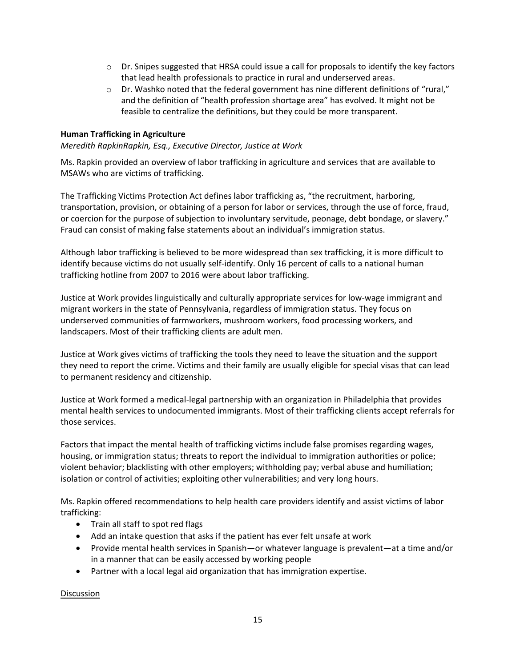- Dr. Snipes suggested that HRSA could issue a call for proposals to identify the key factors that lead health professionals to practice in rural and underserved areas.
- Dr. Washko noted that the federal government has nine different definitions of "rural," and the definition of "health profession shortage area" has evolved. It might not be feasible to centralize the definitions, but they could be more transparent.

## **Human Trafficking in Agriculture**

*Meredith RapkinRapkin, Esq., Executive Director, Justice at Work*

Ms. Rapkin provided an overview of labor trafficking in agriculture and services that are available to MSAWs who are victims of trafficking.

The Trafficking Victims Protection Act defines labor trafficking as, "the recruitment, harboring, transportation, provision, or obtaining of a person for labor or services, through the use of force, fraud, or coercion for the purpose of subjection to involuntary servitude, peonage, debt bondage, or slavery." Fraud can consist of making false statements about an individual's immigration status.

Although labor trafficking is believed to be more widespread than sex trafficking, it is more difficult to identify because victims do not usually self-identify. Only 16 percent of calls to a national human trafficking hotline from 2007 to 2016 were about labor trafficking.

Justice at Work provides linguistically and culturally appropriate services for low-wage immigrant and migrant workers in the state of Pennsylvania, regardless of immigration status. They focus on underserved communities of farmworkers, mushroom workers, food processing workers, and landscapers. Most of their trafficking clients are adult men.

Justice at Work gives victims of trafficking the tools they need to leave the situation and the support they need to report the crime. Victims and their family are usually eligible for special visas that can lead to permanent residency and citizenship.

Justice at Work formed a medical-legal partnership with an organization in Philadelphia that provides mental health services to undocumented immigrants. Most of their trafficking clients accept referrals for those services.

Factors that impact the mental health of trafficking victims include false promises regarding wages, housing, or immigration status; threats to report the individual to immigration authorities or police; violent behavior; blacklisting with other employers; withholding pay; verbal abuse and humiliation; isolation or control of activities; exploiting other vulnerabilities; and very long hours.

Ms. Rapkin offered recommendations to help health care providers identify and assist victims of labor trafficking:

- Train all staff to spot red flags
- Add an intake question that asks if the patient has ever felt unsafe at work
- Provide mental health services in Spanish—or whatever language is prevalent—at a time and/or in a manner that can be easily accessed by working people
- Partner with a local legal aid organization that has immigration expertise.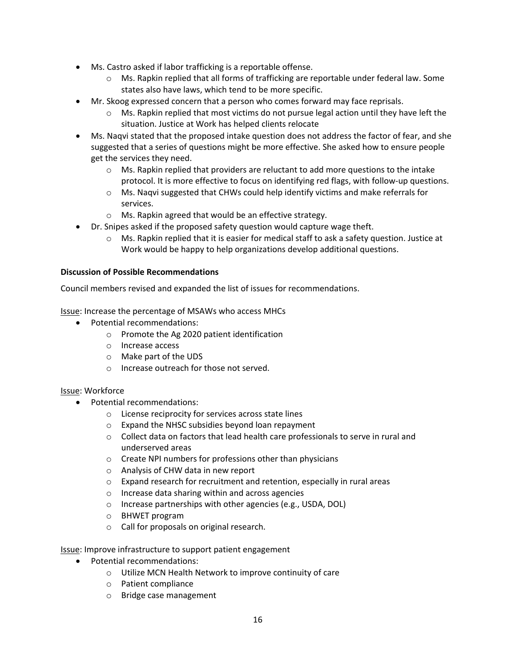- Ms. Castro asked if labor trafficking is a reportable offense.
	- Ms. Rapkin replied that all forms of trafficking are reportable under federal law. Some states also have laws, which tend to be more specific.
- Mr. Skoog expressed concern that a person who comes forward may face reprisals.
	- $\circ$  Ms. Rapkin replied that most victims do not pursue legal action until they have left the situation. Justice at Work has helped clients relocate
- Ms. Naqvi stated that the proposed intake question does not address the factor of fear, and she suggested that a series of questions might be more effective. She asked how to ensure people get the services they need.
	- Ms. Rapkin replied that providers are reluctant to add more questions to the intake protocol. It is more effective to focus on identifying red flags, with follow-up questions.
	- Ms. Naqvi suggested that CHWs could help identify victims and make referrals for services.
	- Ms. Rapkin agreed that would be an effective strategy.
- Dr. Snipes asked if the proposed safety question would capture wage theft.
	- Ms. Rapkin replied that it is easier for medical staff to ask a safety question. Justice at Work would be happy to help organizations develop additional questions.

#### **Discussion of Possible Recommendations**

Council members revised and expanded the list of issues for recommendations.

Issue: Increase the percentage of MSAWs who access MHCs

- Potential recommendations:
	- Promote the Ag 2020 patient identification
	- Increase access
	- Make part of the UDS
	- Increase outreach for those not served.

#### Issue: Workforce

- Potential recommendations:
	- License reciprocity for services across state lines
	- Expand the NHSC subsidies beyond loan repayment
	- Collect data on factors that lead health care professionals to serve in rural and underserved areas
	- Create NPI numbers for professions other than physicians
	- Analysis of CHW data in new report
	- Expand research for recruitment and retention, especially in rural areas
	- Increase data sharing within and across agencies
	- Increase partnerships with other agencies (e.g., USDA, DOL)
	- BHWET program
	- Call for proposals on original research.

Issue: Improve infrastructure to support patient engagement

- Potential recommendations:
	- Utilize MCN Health Network to improve continuity of care
	- Patient compliance
	- Bridge case management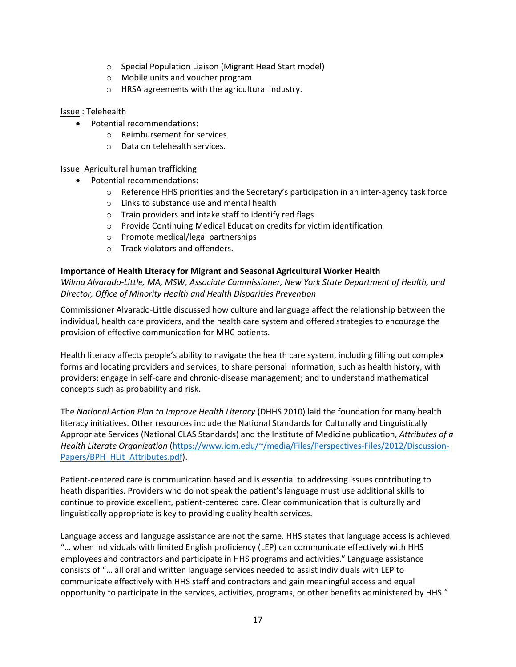- Special Population Liaison (Migrant Head Start model)
- Mobile units and voucher program
- HRSA agreements with the agricultural industry.

Issue : Telehealth

- Potential recommendations:
	- Reimbursement for services
	- Data on telehealth services.

Issue: Agricultural human trafficking

- Potential recommendations:
	- Reference HHS priorities and the Secretary's participation in an inter-agency task force
	- Links to substance use and mental health
	- Train providers and intake staff to identify red flags
	- Provide Continuing Medical Education credits for victim identification
	- Promote medical/legal partnerships
	- Track violators and offenders.

## **Importance of Health Literacy for Migrant and Seasonal Agricultural Worker Health**

*Wilma Alvarado-Little, MA, MSW, Associate Commissioner, New York State Department of Health, and Director, Office of Minority Health and Health Disparities Prevention*

Commissioner Alvarado-Little discussed how culture and language affect the relationship between the individual, health care providers, and the health care system and offered strategies to encourage the provision of effective communication for MHC patients.

Health literacy affects people's ability to navigate the health care system, including filling out complex forms and locating providers and services; to share personal information, such as health history, with providers; engage in self-care and chronic-disease management; and to understand mathematical concepts such as probability and risk.

The *National Action Plan to Improve Health Literacy* (DHHS 2010) laid the foundation for many health literacy initiatives. Other resources include the National Standards for Culturally and Linguistically Appropriate Services (National CLAS Standards) and the Institute of Medicine publication, *Attributes of a Health Literate Organization* [\(https://www.iom.edu/~/media/Files/Perspectives-Files/2012/Discussion-](https://www.iom.edu/%7E/media/Files/Perspectives-Files/2012/Discussion-Papers/BPH_HLit_Attributes.pdf)[Papers/BPH\\_HLit\\_Attributes.pdf\)](https://www.iom.edu/%7E/media/Files/Perspectives-Files/2012/Discussion-Papers/BPH_HLit_Attributes.pdf).

Patient-centered care is communication based and is essential to addressing issues contributing to heath disparities. Providers who do not speak the patient's language must use additional skills to continue to provide excellent, patient-centered care. Clear communication that is culturally and linguistically appropriate is key to providing quality health services.

Language access and language assistance are not the same. HHS states that language access is achieved "… when individuals with limited English proficiency (LEP) can communicate effectively with HHS employees and contractors and participate in HHS programs and activities." Language assistance consists of "… all oral and written language services needed to assist individuals with LEP to communicate effectively with HHS staff and contractors and gain meaningful access and equal opportunity to participate in the services, activities, programs, or other benefits administered by HHS."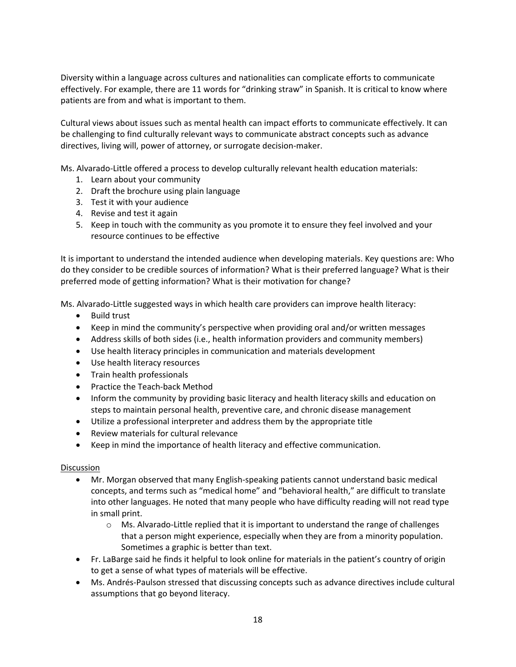Diversity within a language across cultures and nationalities can complicate efforts to communicate effectively. For example, there are 11 words for "drinking straw" in Spanish. It is critical to know where patients are from and what is important to them.

Cultural views about issues such as mental health can impact efforts to communicate effectively. It can be challenging to find culturally relevant ways to communicate abstract concepts such as advance directives, living will, power of attorney, or surrogate decision-maker.

Ms. Alvarado-Little offered a process to develop culturally relevant health education materials:

- 1. Learn about your community
- 2. Draft the brochure using plain language
- 3. Test it with your audience
- 4. Revise and test it again
- 5. Keep in touch with the community as you promote it to ensure they feel involved and your resource continues to be effective

It is important to understand the intended audience when developing materials. Key questions are: Who do they consider to be credible sources of information? What is their preferred language? What is their preferred mode of getting information? What is their motivation for change?

Ms. Alvarado-Little suggested ways in which health care providers can improve health literacy:

- Build trust
- Keep in mind the community's perspective when providing oral and/or written messages
- Address skills of both sides (i.e., health information providers and community members)
- Use health literacy principles in communication and materials development
- Use health literacy resources
- Train health professionals
- Practice the Teach-back Method
- Inform the community by providing basic literacy and health literacy skills and education on steps to maintain personal health, preventive care, and chronic disease management
- Utilize a professional interpreter and address them by the appropriate title
- Review materials for cultural relevance
- Keep in mind the importance of health literacy and effective communication.

- Mr. Morgan observed that many English-speaking patients cannot understand basic medical concepts, and terms such as "medical home" and "behavioral health," are difficult to translate into other languages. He noted that many people who have difficulty reading will not read type in small print.
	- Ms. Alvarado-Little replied that it is important to understand the range of challenges that a person might experience, especially when they are from a minority population. Sometimes a graphic is better than text.
- Fr. LaBarge said he finds it helpful to look online for materials in the patient's country of origin to get a sense of what types of materials will be effective.
- Ms. Andrés-Paulson stressed that discussing concepts such as advance directives include cultural assumptions that go beyond literacy.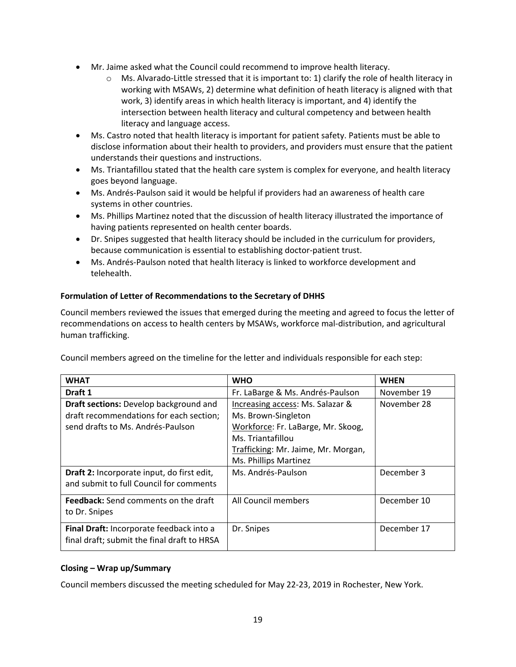- Mr. Jaime asked what the Council could recommend to improve health literacy.
	- Ms. Alvarado-Little stressed that it is important to: 1) clarify the role of health literacy in working with MSAWs, 2) determine what definition of heath literacy is aligned with that work, 3) identify areas in which health literacy is important, and 4) identify the intersection between health literacy and cultural competency and between health literacy and language access.
- Ms. Castro noted that health literacy is important for patient safety. Patients must be able to disclose information about their health to providers, and providers must ensure that the patient understands their questions and instructions.
- Ms. Triantafillou stated that the health care system is complex for everyone, and health literacy goes beyond language.
- Ms. Andrés-Paulson said it would be helpful if providers had an awareness of health care systems in other countries.
- Ms. Phillips Martinez noted that the discussion of health literacy illustrated the importance of having patients represented on health center boards.
- Dr. Snipes suggested that health literacy should be included in the curriculum for providers, because communication is essential to establishing doctor-patient trust.
- Ms. Andrés-Paulson noted that health literacy is linked to workforce development and telehealth.

# **Formulation of Letter of Recommendations to the Secretary of DHHS**

Council members reviewed the issues that emerged during the meeting and agreed to focus the letter of recommendations on access to health centers by MSAWs, workforce mal-distribution, and agricultural human trafficking.

Council members agreed on the timeline for the letter and individuals responsible for each step:

| <b>WHAT</b>                                   | <b>WHO</b>                          | <b>WHEN</b> |
|-----------------------------------------------|-------------------------------------|-------------|
| Draft 1                                       | Fr. LaBarge & Ms. Andrés-Paulson    | November 19 |
| <b>Draft sections:</b> Develop background and | Increasing access: Ms. Salazar &    | November 28 |
| draft recommendations for each section;       | Ms. Brown-Singleton                 |             |
| send drafts to Ms. Andrés-Paulson             | Workforce: Fr. LaBarge, Mr. Skoog,  |             |
|                                               | Ms. Triantafillou                   |             |
|                                               | Trafficking: Mr. Jaime, Mr. Morgan, |             |
|                                               | Ms. Phillips Martinez               |             |
| Draft 2: Incorporate input, do first edit,    | Ms. Andrés-Paulson                  | December 3  |
| and submit to full Council for comments       |                                     |             |
| <b>Feedback:</b> Send comments on the draft   | All Council members                 | December 10 |
| to Dr. Snipes                                 |                                     |             |
| Final Draft: Incorporate feedback into a      | Dr. Snipes                          | December 17 |
| final draft; submit the final draft to HRSA   |                                     |             |

# **Closing – Wrap up/Summary**

Council members discussed the meeting scheduled for May 22-23, 2019 in Rochester, New York.